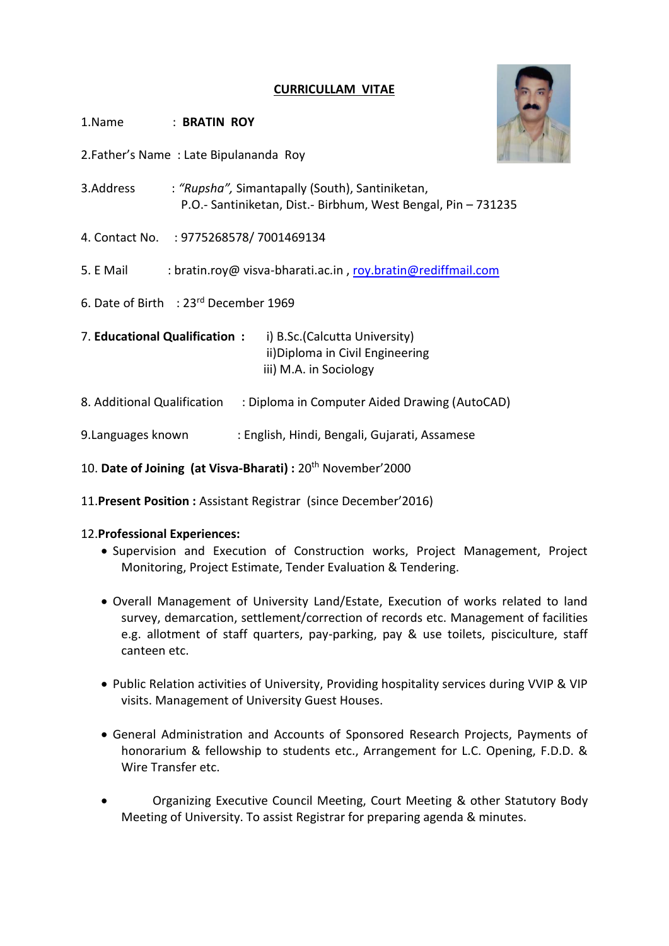# **CURRICULLAM VITAE**

- 1.Name : **BRATIN ROY**
- 2.Father's Name : Late Bipulananda Roy
- 3.Address : *"Rupsha",* Simantapally (South), Santiniketan, P.O.- Santiniketan, Dist.- Birbhum, West Bengal, Pin – 731235
- 4. Contact No. : 9775268578/ 7001469134
- 5. E Mail : bratin.roy@ visva-bharati.ac.in , [roy.bratin@rediffmail.com](mailto:roy.bratin@rediffmail.com)
- 6. Date of Birth : 23rd December 1969
- 7. **Educational Qualification :** i) B.Sc.(Calcutta University) ii)Diploma in Civil Engineering iii) M.A. in Sociology
- 8. Additional Qualification : Diploma in Computer Aided Drawing (AutoCAD)
- 9.Languages known : English, Hindi, Bengali, Gujarati, Assamese
- 10. **Date of Joining (at Visva-Bharati) :** 20th November'2000
- 11.**Present Position :** Assistant Registrar (since December'2016)

### 12.**Professional Experiences:**

- Supervision and Execution of Construction works, Project Management, Project Monitoring, Project Estimate, Tender Evaluation & Tendering.
- Overall Management of University Land/Estate, Execution of works related to land survey, demarcation, settlement/correction of records etc. Management of facilities e.g. allotment of staff quarters, pay-parking, pay & use toilets, pisciculture, staff canteen etc.
- Public Relation activities of University, Providing hospitality services during VVIP & VIP visits. Management of University Guest Houses.
- General Administration and Accounts of Sponsored Research Projects, Payments of honorarium & fellowship to students etc., Arrangement for L.C. Opening, F.D.D. & Wire Transfer etc.
- Organizing Executive Council Meeting, Court Meeting & other Statutory Body Meeting of University. To assist Registrar for preparing agenda & minutes.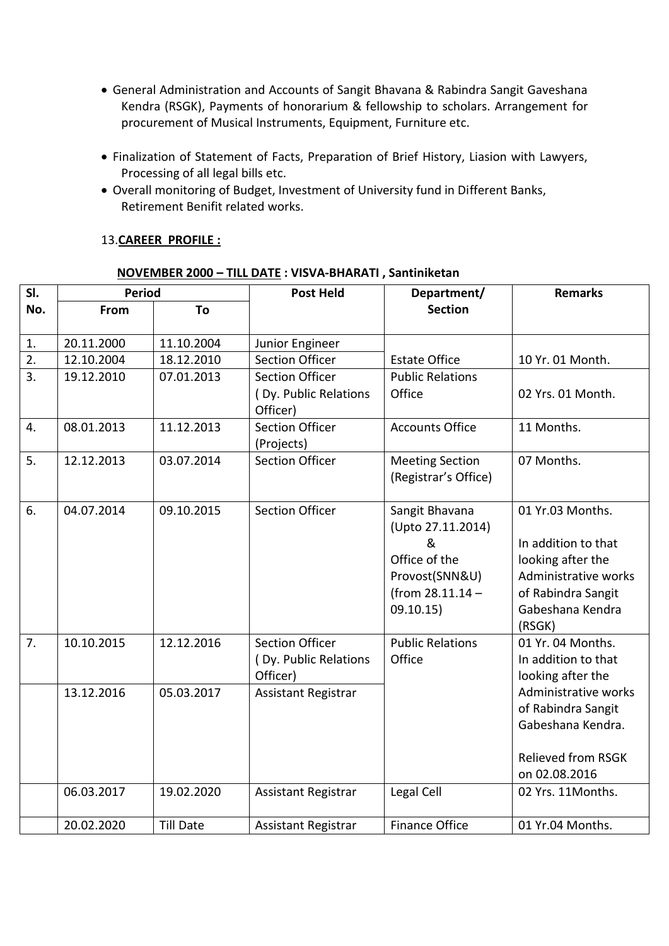- General Administration and Accounts of Sangit Bhavana & Rabindra Sangit Gaveshana Kendra (RSGK), Payments of honorarium & fellowship to scholars. Arrangement for procurement of Musical Instruments, Equipment, Furniture etc.
- Finalization of Statement of Facts, Preparation of Brief History, Liasion with Lawyers, Processing of all legal bills etc.
- Overall monitoring of Budget, Investment of University fund in Different Banks, Retirement Benifit related works.

## 13.**CAREER PROFILE :**

| SI.              | <b>Period</b> |                  | <b>Post Held</b>                                                                                 | Department/                                                                                                  | <b>Remarks</b>                                                                                                                           |  |
|------------------|---------------|------------------|--------------------------------------------------------------------------------------------------|--------------------------------------------------------------------------------------------------------------|------------------------------------------------------------------------------------------------------------------------------------------|--|
| No.              | From<br>To    |                  |                                                                                                  | <b>Section</b>                                                                                               |                                                                                                                                          |  |
| 1.               | 20.11.2000    | 11.10.2004       | Junior Engineer                                                                                  |                                                                                                              |                                                                                                                                          |  |
| 2.               | 12.10.2004    | 18.12.2010       | <b>Section Officer</b>                                                                           | <b>Estate Office</b>                                                                                         | 10 Yr. 01 Month.                                                                                                                         |  |
| $\overline{3}$ . | 19.12.2010    | 07.01.2013       | <b>Section Officer</b><br><b>Public Relations</b><br>Office<br>(Dy. Public Relations<br>Officer) |                                                                                                              | 02 Yrs. 01 Month.                                                                                                                        |  |
| 4.               | 08.01.2013    | 11.12.2013       | <b>Section Officer</b><br>(Projects)                                                             | <b>Accounts Office</b>                                                                                       | 11 Months.                                                                                                                               |  |
| 5.               | 12.12.2013    | 03.07.2014       | <b>Section Officer</b><br><b>Meeting Section</b><br>(Registrar's Office)                         |                                                                                                              | 07 Months.                                                                                                                               |  |
| 6.               | 04.07.2014    | 09.10.2015       | <b>Section Officer</b>                                                                           | Sangit Bhavana<br>(Upto 27.11.2014)<br>&<br>Office of the<br>Provost(SNN&U)<br>(from 28.11.14 -<br>09.10.15) | 01 Yr.03 Months.<br>In addition to that<br>looking after the<br>Administrative works<br>of Rabindra Sangit<br>Gabeshana Kendra<br>(RSGK) |  |
| 7.               | 10.10.2015    | 12.12.2016       | <b>Section Officer</b><br>(Dy. Public Relations<br>Officer)                                      | <b>Public Relations</b><br>Office                                                                            | 01 Yr. 04 Months.<br>In addition to that<br>looking after the                                                                            |  |
|                  | 13.12.2016    | 05.03.2017       | <b>Assistant Registrar</b>                                                                       |                                                                                                              | Administrative works<br>of Rabindra Sangit<br>Gabeshana Kendra.<br>Relieved from RSGK                                                    |  |
|                  |               |                  |                                                                                                  |                                                                                                              | on 02.08.2016                                                                                                                            |  |
|                  | 06.03.2017    | 19.02.2020       | Assistant Registrar                                                                              | Legal Cell                                                                                                   | 02 Yrs. 11 Months.                                                                                                                       |  |
|                  | 20.02.2020    | <b>Till Date</b> | <b>Assistant Registrar</b>                                                                       | <b>Finance Office</b>                                                                                        | 01 Yr.04 Months.                                                                                                                         |  |

### **NOVEMBER 2000 – TILL DATE : VISVA-BHARATI , Santiniketan**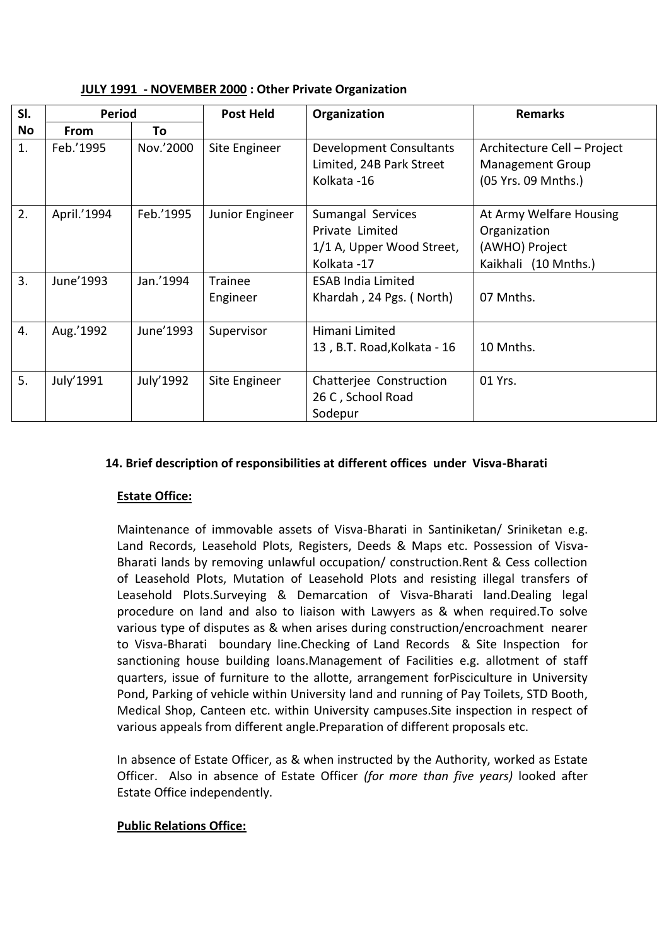| JULY 1991 - NOVEMBER 2000 : Other Private Organization |  |  |
|--------------------------------------------------------|--|--|
|--------------------------------------------------------|--|--|

| SI.       | <b>Period</b> |           | <b>Post Held</b><br>Organization |                             | <b>Remarks</b>              |
|-----------|---------------|-----------|----------------------------------|-----------------------------|-----------------------------|
| <b>No</b> | <b>From</b>   | To        |                                  |                             |                             |
| 1.        | Feb.'1995     | Nov.'2000 | Site Engineer                    | Development Consultants     | Architecture Cell - Project |
|           |               |           |                                  | Limited, 24B Park Street    | <b>Management Group</b>     |
|           |               |           |                                  | Kolkata -16                 | (05 Yrs. 09 Mnths.)         |
| 2.        | April.'1994   | Feb.'1995 | Junior Engineer                  | Sumangal Services           | At Army Welfare Housing     |
|           |               |           |                                  | Private Limited             | Organization                |
|           |               |           |                                  | 1/1 A, Upper Wood Street,   | (AWHO) Project              |
|           |               |           |                                  | Kolkata -17                 | Kaikhali (10 Mnths.)        |
| 3.        | June'1993     | Jan.'1994 | Trainee                          | <b>ESAB India Limited</b>   |                             |
|           |               |           | Engineer                         | Khardah, 24 Pgs. (North)    | 07 Mnths.                   |
|           |               |           |                                  |                             |                             |
| 4.        | Aug.'1992     | June'1993 | Supervisor                       | Himani Limited              |                             |
|           |               |           |                                  | 13, B.T. Road, Kolkata - 16 | 10 Mnths.                   |
|           |               |           |                                  |                             |                             |
| 5.        | July'1991     | July'1992 | Site Engineer                    | Chatterjee Construction     | 01 Yrs.                     |
|           |               |           |                                  | 26 C, School Road           |                             |
|           |               |           |                                  | Sodepur                     |                             |

# **14. Brief description of responsibilities at different offices under Visva-Bharati**

# **Estate Office:**

Maintenance of immovable assets of Visva-Bharati in Santiniketan/ Sriniketan e.g. Land Records, Leasehold Plots, Registers, Deeds & Maps etc. Possession of Visva-Bharati lands by removing unlawful occupation/ construction.Rent & Cess collection of Leasehold Plots, Mutation of Leasehold Plots and resisting illegal transfers of Leasehold Plots.Surveying & Demarcation of Visva-Bharati land.Dealing legal procedure on land and also to liaison with Lawyers as & when required.To solve various type of disputes as & when arises during construction/encroachment nearer to Visva-Bharati boundary line.Checking of Land Records & Site Inspection for sanctioning house building loans.Management of Facilities e.g. allotment of staff quarters, issue of furniture to the allotte, arrangement forPisciculture in University Pond, Parking of vehicle within University land and running of Pay Toilets, STD Booth, Medical Shop, Canteen etc. within University campuses.Site inspection in respect of various appeals from different angle.Preparation of different proposals etc.

In absence of Estate Officer, as & when instructed by the Authority, worked as Estate Officer. Also in absence of Estate Officer *(for more than five years)* looked after Estate Office independently.

# **Public Relations Office:**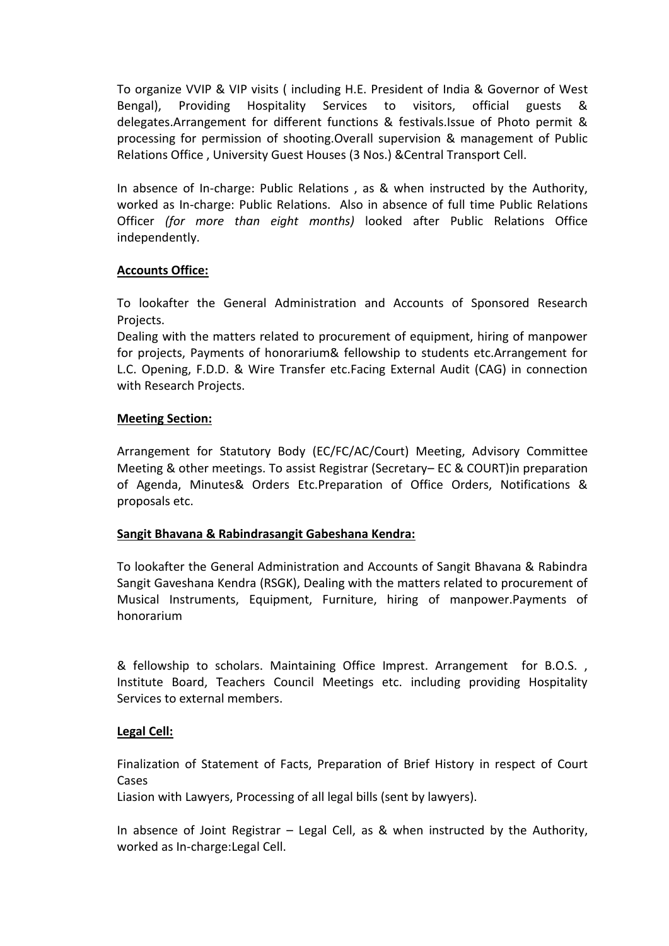To organize VVIP & VIP visits ( including H.E. President of India & Governor of West Bengal), Providing Hospitality Services to visitors, official guests & delegates.Arrangement for different functions & festivals.Issue of Photo permit & processing for permission of shooting.Overall supervision & management of Public Relations Office , University Guest Houses (3 Nos.) &Central Transport Cell.

In absence of In-charge: Public Relations , as & when instructed by the Authority, worked as In-charge: Public Relations. Also in absence of full time Public Relations Officer *(for more than eight months)* looked after Public Relations Office independently.

## **Accounts Office:**

To lookafter the General Administration and Accounts of Sponsored Research Projects.

Dealing with the matters related to procurement of equipment, hiring of manpower for projects, Payments of honorarium& fellowship to students etc.Arrangement for L.C. Opening, F.D.D. & Wire Transfer etc.Facing External Audit (CAG) in connection with Research Projects.

## **Meeting Section:**

Arrangement for Statutory Body (EC/FC/AC/Court) Meeting, Advisory Committee Meeting & other meetings. To assist Registrar (Secretary– EC & COURT)in preparation of Agenda, Minutes& Orders Etc.Preparation of Office Orders, Notifications & proposals etc.

### **Sangit Bhavana & Rabindrasangit Gabeshana Kendra:**

To lookafter the General Administration and Accounts of Sangit Bhavana & Rabindra Sangit Gaveshana Kendra (RSGK), Dealing with the matters related to procurement of Musical Instruments, Equipment, Furniture, hiring of manpower.Payments of honorarium

& fellowship to scholars. Maintaining Office Imprest. Arrangement for B.O.S. , Institute Board, Teachers Council Meetings etc. including providing Hospitality Services to external members.

# **Legal Cell:**

Finalization of Statement of Facts, Preparation of Brief History in respect of Court Cases

Liasion with Lawyers, Processing of all legal bills (sent by lawyers).

In absence of Joint Registrar – Legal Cell, as & when instructed by the Authority, worked as In-charge:Legal Cell.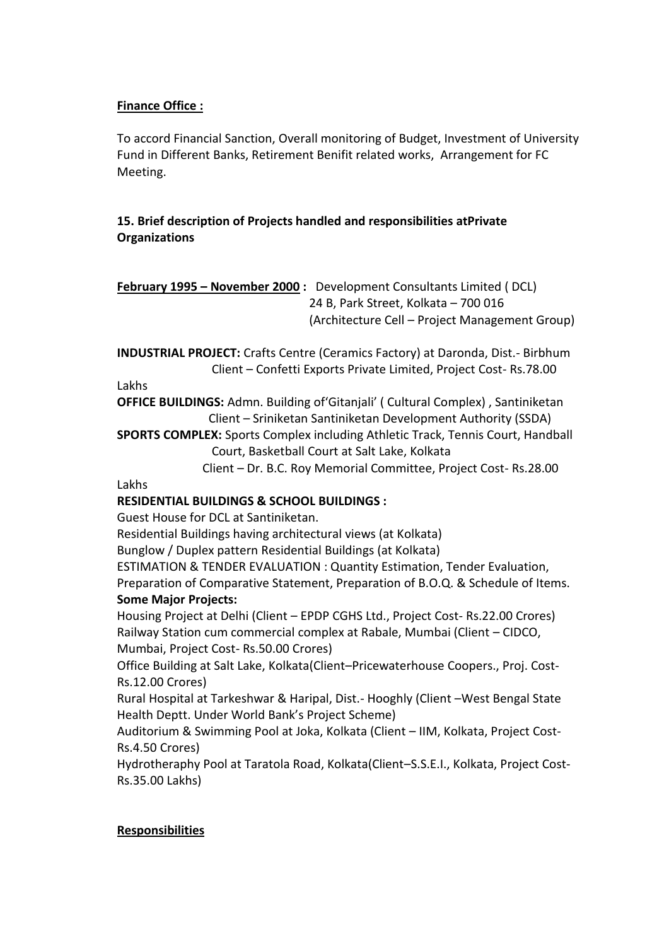# **Finance Office :**

To accord Financial Sanction, Overall monitoring of Budget, Investment of University Fund in Different Banks, Retirement Benifit related works, Arrangement for FC Meeting.

# **15. Brief description of Projects handled and responsibilities atPrivate Organizations**

**February 1995 – November 2000 :** Development Consultants Limited ( DCL) 24 B, Park Street, Kolkata – 700 016 (Architecture Cell – Project Management Group)

**INDUSTRIAL PROJECT:** Crafts Centre (Ceramics Factory) at Daronda, Dist.- Birbhum Client – Confetti Exports Private Limited, Project Cost- Rs.78.00

### Lakhs

Lakhs

**OFFICE BUILDINGS:** Admn. Building of'Gitanjali' ( Cultural Complex) , Santiniketan Client – Sriniketan Santiniketan Development Authority (SSDA)

**SPORTS COMPLEX:** Sports Complex including Athletic Track, Tennis Court, Handball Court, Basketball Court at Salt Lake, Kolkata

Client – Dr. B.C. Roy Memorial Committee, Project Cost- Rs.28.00

# **RESIDENTIAL BUILDINGS & SCHOOL BUILDINGS :**

Guest House for DCL at Santiniketan.

Residential Buildings having architectural views (at Kolkata)

Bunglow / Duplex pattern Residential Buildings (at Kolkata)

ESTIMATION & TENDER EVALUATION : Quantity Estimation, Tender Evaluation,

Preparation of Comparative Statement, Preparation of B.O.Q. & Schedule of Items. **Some Major Projects:**

Housing Project at Delhi (Client – EPDP CGHS Ltd., Project Cost- Rs.22.00 Crores) Railway Station cum commercial complex at Rabale, Mumbai (Client – CIDCO, Mumbai, Project Cost- Rs.50.00 Crores)

Office Building at Salt Lake, Kolkata(Client–Pricewaterhouse Coopers., Proj. Cost-Rs.12.00 Crores)

Rural Hospital at Tarkeshwar & Haripal, Dist.- Hooghly (Client –West Bengal State Health Deptt. Under World Bank's Project Scheme)

Auditorium & Swimming Pool at Joka, Kolkata (Client – IIM, Kolkata, Project Cost-Rs.4.50 Crores)

Hydrotheraphy Pool at Taratola Road, Kolkata(Client–S.S.E.I., Kolkata, Project Cost-Rs.35.00 Lakhs)

### **Responsibilities**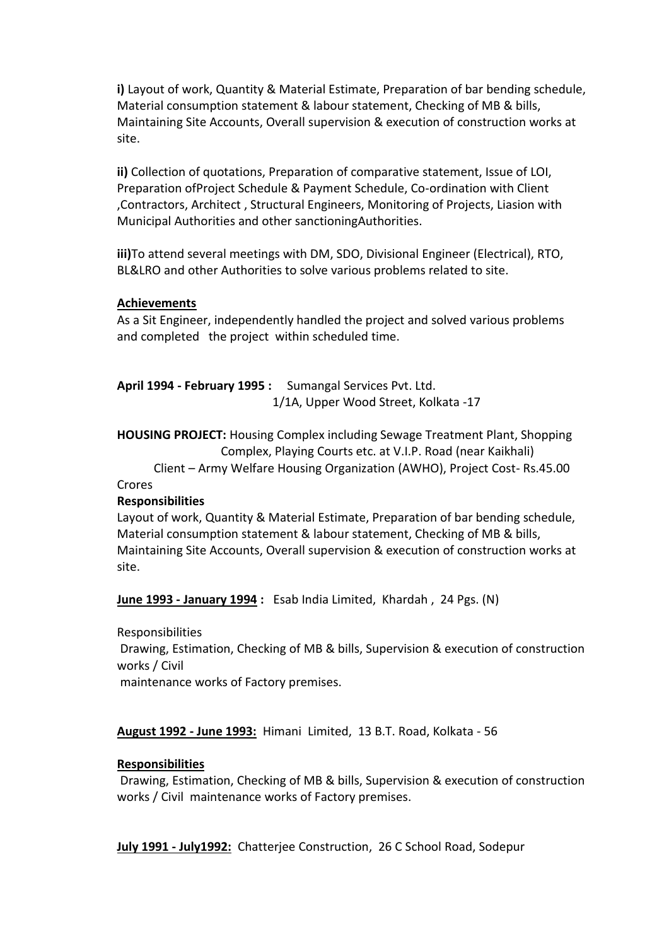**i)** Layout of work, Quantity & Material Estimate, Preparation of bar bending schedule, Material consumption statement & labour statement, Checking of MB & bills, Maintaining Site Accounts, Overall supervision & execution of construction works at site.

**ii)** Collection of quotations, Preparation of comparative statement, Issue of LOI, Preparation ofProject Schedule & Payment Schedule, Co-ordination with Client ,Contractors, Architect , Structural Engineers, Monitoring of Projects, Liasion with Municipal Authorities and other sanctioningAuthorities.

**iii)**To attend several meetings with DM, SDO, Divisional Engineer (Electrical), RTO, BL&LRO and other Authorities to solve various problems related to site.

### **Achievements**

As a Sit Engineer, independently handled the project and solved various problems and completed the project within scheduled time.

**April 1994 - February 1995 :** Sumangal Services Pvt. Ltd. 1/1A, Upper Wood Street, Kolkata -17

**HOUSING PROJECT:** Housing Complex including Sewage Treatment Plant, Shopping Complex, Playing Courts etc. at V.I.P. Road (near Kaikhali)

 Client – Army Welfare Housing Organization (AWHO), Project Cost- Rs.45.00 Crores

### **Responsibilities**

Layout of work, Quantity & Material Estimate, Preparation of bar bending schedule, Material consumption statement & labour statement, Checking of MB & bills, Maintaining Site Accounts, Overall supervision & execution of construction works at site.

**June 1993 - January 1994 :** Esab India Limited, Khardah , 24 Pgs. (N)

Responsibilities

Drawing, Estimation, Checking of MB & bills, Supervision & execution of construction works / Civil

maintenance works of Factory premises.

**August 1992 - June 1993:** Himani Limited, 13 B.T. Road, Kolkata - 56

### **Responsibilities**

Drawing, Estimation, Checking of MB & bills, Supervision & execution of construction works / Civil maintenance works of Factory premises.

**July 1991 - July1992:** Chatterjee Construction, 26 C School Road, Sodepur